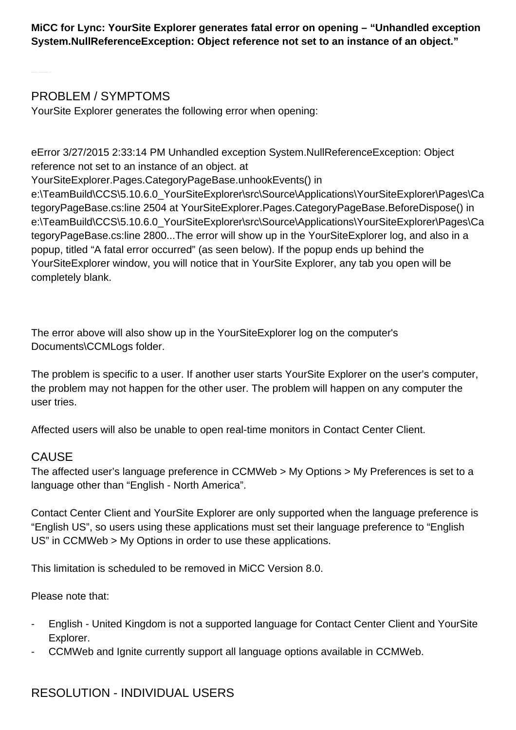**MiCC for Lync: YourSite Explorer generates fatal error on opening – "Unhandled exception System.NullReferenceException: Object reference not set to an instance of an object."**

PROBLEM / SYMPTOMS

YourSite Explorer generates the following error when opening:

eError 3/27/2015 2:33:14 PM Unhandled exception System.NullReferenceException: Object reference not set to an instance of an object. at

YourSiteExplorer.Pages.CategoryPageBase.unhookEvents() in

e:\TeamBuild\CCS\5.10.6.0\_YourSiteExplorer\src\Source\Applications\YourSiteExplorer\Pages\Ca tegoryPageBase.cs:line 2504 at YourSiteExplorer.Pages.CategoryPageBase.BeforeDispose() in e:\TeamBuild\CCS\5.10.6.0\_YourSiteExplorer\src\Source\Applications\YourSiteExplorer\Pages\Ca tegoryPageBase.cs:line 2800...The error will show up in the YourSiteExplorer log, and also in a popup, titled "A fatal error occurred" (as seen below). If the popup ends up behind the YourSiteExplorer window, you will notice that in YourSite Explorer, any tab you open will be completely blank.

The error above will also show up in the YourSiteExplorer log on the computer's Documents\CCMLogs folder.

The problem is specific to a user. If another user starts YourSite Explorer on the user's computer, the problem may not happen for the other user. The problem will happen on any computer the user tries.

Affected users will also be unable to open real-time monitors in Contact Center Client.

## CAUSE

The affected user's language preference in CCMWeb > My Options > My Preferences is set to a language other than "English - North America".

Contact Center Client and YourSite Explorer are only supported when the language preference is "English US", so users using these applications must set their language preference to "English US" in CCMWeb > My Options in order to use these applications.

This limitation is scheduled to be removed in MiCC Version 8.0.

Please note that:

- English - United Kingdom is not a supported language for Contact Center Client and YourSite Explorer.
- CCMWeb and Ignite currently support all language options available in CCMWeb.

## RESOLUTION - INDIVIDUAL USERS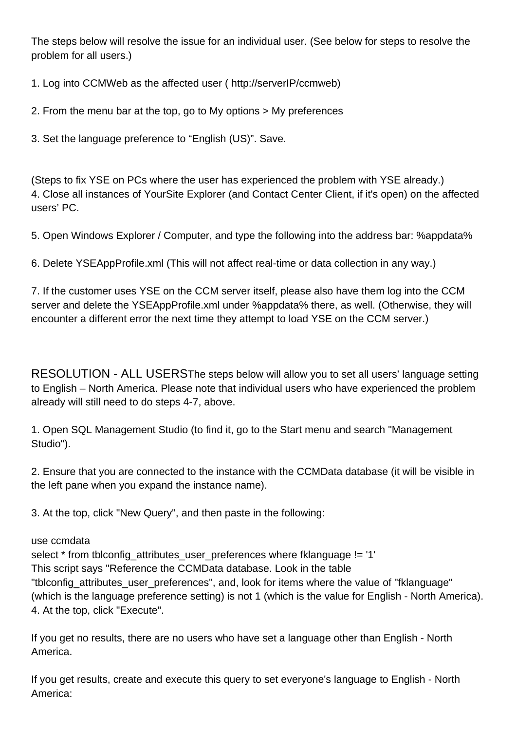The steps below will resolve the issue for an individual user. (See below for steps to resolve the problem for all users.)

1. Log into CCMWeb as the affected user ( http://serverIP/ccmweb)

2. From the menu bar at the top, go to My options > My preferences

3. Set the language preference to "English (US)". Save.

(Steps to fix YSE on PCs where the user has experienced the problem with YSE already.) 4. Close all instances of YourSite Explorer (and Contact Center Client, if it's open) on the affected users' PC.

5. Open Windows Explorer / Computer, and type the following into the address bar: %appdata%

6. Delete YSEAppProfile.xml (This will not affect real-time or data collection in any way.)

7. If the customer uses YSE on the CCM server itself, please also have them log into the CCM server and delete the YSEAppProfile.xml under %appdata% there, as well. (Otherwise, they will encounter a different error the next time they attempt to load YSE on the CCM server.)

RESOLUTION - ALL USERSThe steps below will allow you to set all users' language setting to English – North America. Please note that individual users who have experienced the problem already will still need to do steps 4-7, above.

1. Open SQL Management Studio (to find it, go to the Start menu and search "Management Studio").

2. Ensure that you are connected to the instance with the CCMData database (it will be visible in the left pane when you expand the instance name).

3. At the top, click "New Query", and then paste in the following:

## use ccmdata

select \* from tblconfig\_attributes\_user\_preferences where fklanguage != '1' This script says "Reference the CCMData database. Look in the table "tblconfig\_attributes\_user\_preferences", and, look for items where the value of "fklanguage" (which is the language preference setting) is not 1 (which is the value for English - North America). 4. At the top, click "Execute".

If you get no results, there are no users who have set a language other than English - North America.

If you get results, create and execute this query to set everyone's language to English - North America: